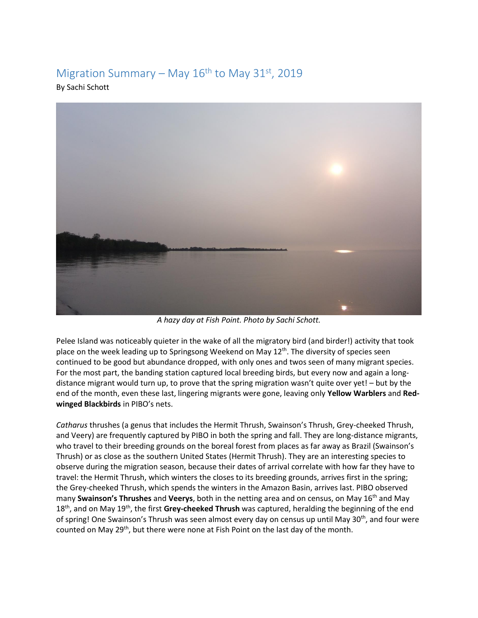## Migration Summary – May  $16<sup>th</sup>$  to May 31<sup>st</sup>, 2019

By Sachi Schott



*A hazy day at Fish Point. Photo by Sachi Schott.* 

Pelee Island was noticeably quieter in the wake of all the migratory bird (and birder!) activity that took place on the week leading up to Springsong Weekend on May  $12^{th}$ . The diversity of species seen continued to be good but abundance dropped, with only ones and twos seen of many migrant species. For the most part, the banding station captured local breeding birds, but every now and again a longdistance migrant would turn up, to prove that the spring migration wasn't quite over yet! – but by the end of the month, even these last, lingering migrants were gone, leaving only **Yellow Warblers** and **Redwinged Blackbirds** in PIBO's nets.

*Catharus* thrushes (a genus that includes the Hermit Thrush, Swainson's Thrush, Grey-cheeked Thrush, and Veery) are frequently captured by PIBO in both the spring and fall. They are long-distance migrants, who travel to their breeding grounds on the boreal forest from places as far away as Brazil (Swainson's Thrush) or as close as the southern United States (Hermit Thrush). They are an interesting species to observe during the migration season, because their dates of arrival correlate with how far they have to travel: the Hermit Thrush, which winters the closes to its breeding grounds, arrives first in the spring; the Grey-cheeked Thrush, which spends the winters in the Amazon Basin, arrives last. PIBO observed many **Swainson's Thrushes** and **Veerys**, both in the netting area and on census, on May 16th and May 18th, and on May 19th, the first **Grey-cheeked Thrush** was captured, heralding the beginning of the end of spring! One Swainson's Thrush was seen almost every day on census up until May 30<sup>th</sup>, and four were counted on May 29th, but there were none at Fish Point on the last day of the month.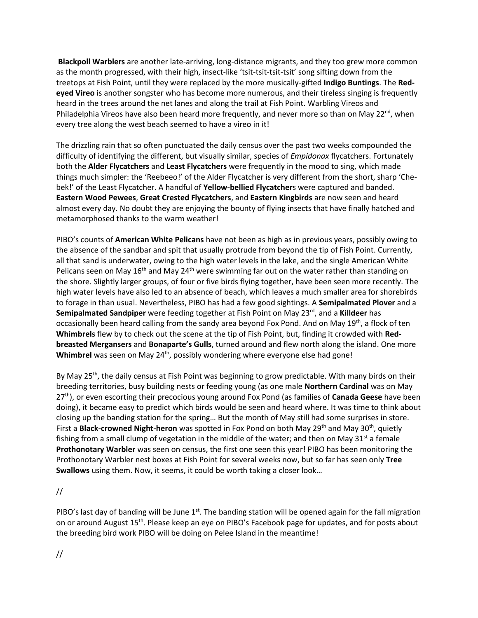**Blackpoll Warblers** are another late-arriving, long-distance migrants, and they too grew more common as the month progressed, with their high, insect-like 'tsit-tsit-tsit-tsit' song sifting down from the treetops at Fish Point, until they were replaced by the more musically-gifted **Indigo Buntings**. The **Redeyed Vireo** is another songster who has become more numerous, and their tireless singing is frequently heard in the trees around the net lanes and along the trail at Fish Point. Warbling Vireos and Philadelphia Vireos have also been heard more frequently, and never more so than on May 22<sup>nd</sup>, when every tree along the west beach seemed to have a vireo in it!

The drizzling rain that so often punctuated the daily census over the past two weeks compounded the difficulty of identifying the different, but visually similar, species of *Empidonax* flycatchers. Fortunately both the **Alder Flycatchers** and **Least Flycatchers** were frequently in the mood to sing, which made things much simpler: the 'Reebeeo!' of the Alder Flycatcher is very different from the short, sharp 'Chebek!' of the Least Flycatcher. A handful of **Yellow-bellied Flycatcher**s were captured and banded. **Eastern Wood Pewees**, **Great Crested Flycatchers**, and **Eastern Kingbirds** are now seen and heard almost every day. No doubt they are enjoying the bounty of flying insects that have finally hatched and metamorphosed thanks to the warm weather!

PIBO's counts of **American White Pelicans** have not been as high as in previous years, possibly owing to the absence of the sandbar and spit that usually protrude from beyond the tip of Fish Point. Currently, all that sand is underwater, owing to the high water levels in the lake, and the single American White Pelicans seen on May  $16<sup>th</sup>$  and May 24<sup>th</sup> were swimming far out on the water rather than standing on the shore. Slightly larger groups, of four or five birds flying together, have been seen more recently. The high water levels have also led to an absence of beach, which leaves a much smaller area for shorebirds to forage in than usual. Nevertheless, PIBO has had a few good sightings. A **Semipalmated Plover** and a Semipalmated Sandpiper were feeding together at Fish Point on May 23<sup>rd</sup>, and a Killdeer has occasionally been heard calling from the sandy area beyond Fox Pond. And on May 19th, a flock of ten **Whimbrels** flew by to check out the scene at the tip of Fish Point, but, finding it crowded with **Redbreasted Mergansers** and **Bonaparte's Gulls**, turned around and flew north along the island. One more **Whimbrel** was seen on May 24<sup>th</sup>, possibly wondering where everyone else had gone!

By May 25<sup>th</sup>, the daily census at Fish Point was beginning to grow predictable. With many birds on their breeding territories, busy building nests or feeding young (as one male **Northern Cardinal** was on May 27th), or even escorting their precocious young around Fox Pond (as families of **Canada Geese** have been doing), it became easy to predict which birds would be seen and heard where. It was time to think about closing up the banding station for the spring… But the month of May still had some surprises in store. First a **Black-crowned Night-heron** was spotted in Fox Pond on both May 29<sup>th</sup> and May 30<sup>th</sup>, quietly fishing from a small clump of vegetation in the middle of the water; and then on May  $31<sup>st</sup>$  a female **Prothonotary Warbler** was seen on census, the first one seen this year! PIBO has been monitoring the Prothonotary Warbler nest boxes at Fish Point for several weeks now, but so far has seen only **Tree Swallows** using them. Now, it seems, it could be worth taking a closer look…

//

PIBO's last day of banding will be June  $1<sup>st</sup>$ . The banding station will be opened again for the fall migration on or around August 15<sup>th</sup>. Please keep an eye on PIBO's Facebook page for updates, and for posts about the breeding bird work PIBO will be doing on Pelee Island in the meantime!